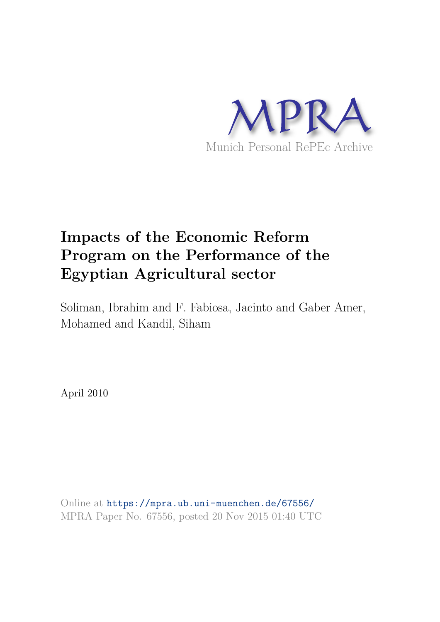

# **Impacts of the Economic Reform Program on the Performance of the Egyptian Agricultural sector**

Soliman, Ibrahim and F. Fabiosa, Jacinto and Gaber Amer, Mohamed and Kandil, Siham

April 2010

Online at https://mpra.ub.uni-muenchen.de/67556/ MPRA Paper No. 67556, posted 20 Nov 2015 01:40 UTC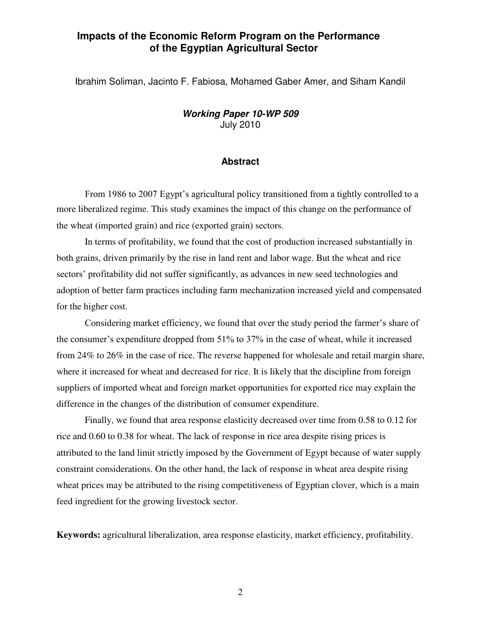# **Impacts of the Economic Reform Program on the Performance of the Egyptian Agricultural Sector**

Ibrahim Soliman, Jacinto F. Fabiosa, Mohamed Gaber Amer, and Siham Kandil

## *Working Paper 10-WP 509*  July 2010

## **Abstract**

From 1986 to 2007 Egypt's agricultural policy transitioned from a tightly controlled to a more liberalized regime. This study examines the impact of this change on the performance of the wheat (imported grain) and rice (exported grain) sectors.

In terms of profitability, we found that the cost of production increased substantially in both grains, driven primarily by the rise in land rent and labor wage. But the wheat and rice sectors' profitability did not suffer significantly, as advances in new seed technologies and adoption of better farm practices including farm mechanization increased yield and compensated for the higher cost.

Considering market efficiency, we found that over the study period the farmer's share of the consumer's expenditure dropped from 51% to 37% in the case of wheat, while it increased from 24% to 26% in the case of rice. The reverse happened for wholesale and retail margin share, where it increased for wheat and decreased for rice. It is likely that the discipline from foreign suppliers of imported wheat and foreign market opportunities for exported rice may explain the difference in the changes of the distribution of consumer expenditure.

Finally, we found that area response elasticity decreased over time from 0.58 to 0.12 for rice and 0.60 to 0.38 for wheat. The lack of response in rice area despite rising prices is attributed to the land limit strictly imposed by the Government of Egypt because of water supply constraint considerations. On the other hand, the lack of response in wheat area despite rising wheat prices may be attributed to the rising competitiveness of Egyptian clover, which is a main feed ingredient for the growing livestock sector.

**Keywords:** agricultural liberalization, area response elasticity, market efficiency, profitability.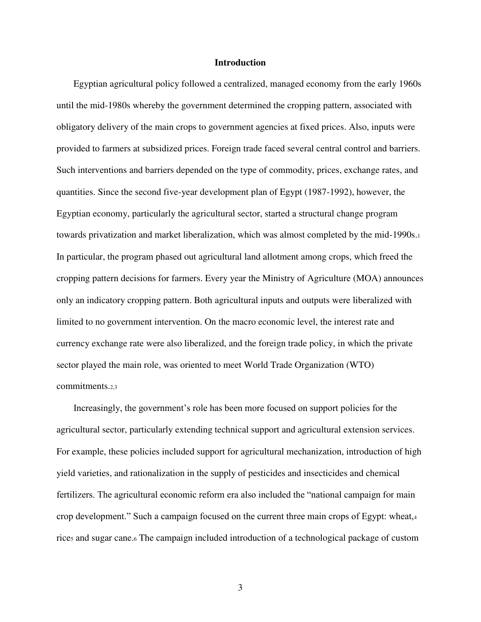#### **Introduction**

Egyptian agricultural policy followed a centralized, managed economy from the early 1960s until the mid-1980s whereby the government determined the cropping pattern, associated with obligatory delivery of the main crops to government agencies at fixed prices. Also, inputs were provided to farmers at subsidized prices. Foreign trade faced several central control and barriers. Such interventions and barriers depended on the type of commodity, prices, exchange rates, and quantities. Since the second five-year development plan of Egypt (1987-1992), however, the Egyptian economy, particularly the agricultural sector, started a structural change program towards privatization and market liberalization, which was almost completed by the mid-1990s.<sup>1</sup> In particular, the program phased out agricultural land allotment among crops, which freed the cropping pattern decisions for farmers. Every year the Ministry of Agriculture (MOA) announces only an indicatory cropping pattern. Both agricultural inputs and outputs were liberalized with limited to no government intervention. On the macro economic level, the interest rate and currency exchange rate were also liberalized, and the foreign trade policy, in which the private sector played the main role, was oriented to meet World Trade Organization (WTO) commitments.2,3

Increasingly, the government's role has been more focused on support policies for the agricultural sector, particularly extending technical support and agricultural extension services. For example, these policies included support for agricultural mechanization, introduction of high yield varieties, and rationalization in the supply of pesticides and insecticides and chemical fertilizers. The agricultural economic reform era also included the "national campaign for main crop development." Such a campaign focused on the current three main crops of Egypt: wheat,<sup>4</sup> rice5 and sugar cane.6 The campaign included introduction of a technological package of custom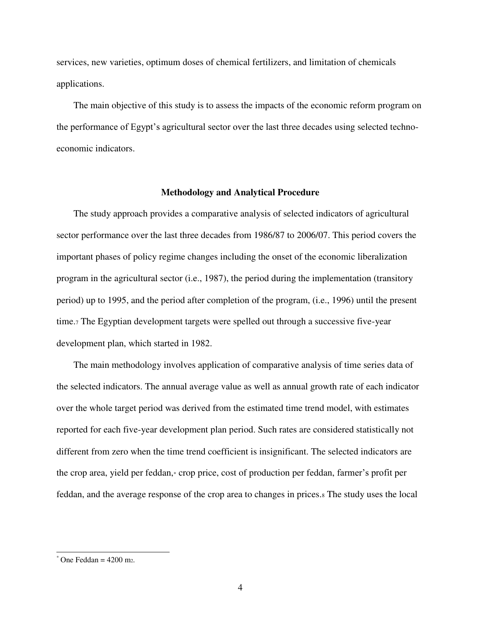services, new varieties, optimum doses of chemical fertilizers, and limitation of chemicals applications.

The main objective of this study is to assess the impacts of the economic reform program on the performance of Egypt's agricultural sector over the last three decades using selected technoeconomic indicators.

#### **Methodology and Analytical Procedure**

The study approach provides a comparative analysis of selected indicators of agricultural sector performance over the last three decades from 1986/87 to 2006/07. This period covers the important phases of policy regime changes including the onset of the economic liberalization program in the agricultural sector (i.e., 1987), the period during the implementation (transitory period) up to 1995, and the period after completion of the program, (i.e., 1996) until the present time.7 The Egyptian development targets were spelled out through a successive five-year development plan, which started in 1982.

The main methodology involves application of comparative analysis of time series data of the selected indicators. The annual average value as well as annual growth rate of each indicator over the whole target period was derived from the estimated time trend model, with estimates reported for each five-year development plan period. Such rates are considered statistically not different from zero when the time trend coefficient is insignificant. The selected indicators are the crop area, yield per feddan,\* crop price, cost of production per feddan, farmer's profit per feddan, and the average response of the crop area to changes in prices.8 The study uses the local

One Feddan  $= 4200$  m<sub>2</sub>.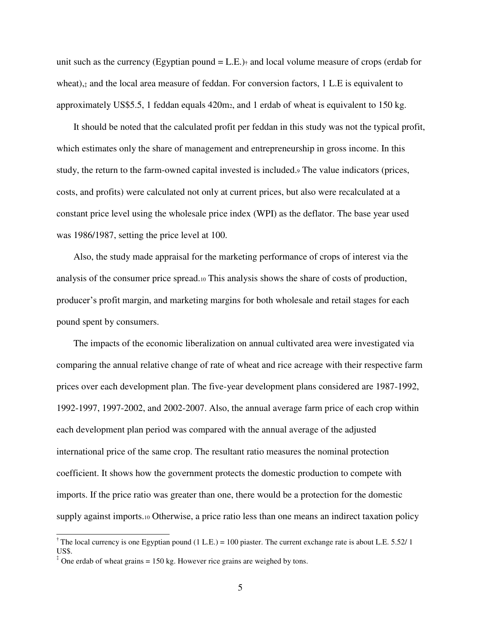unit such as the currency (Egyptian pound  $= L.E.$ ) and local volume measure of crops (erdab for wheat), $\alpha$  and the local area measure of feddan. For conversion factors, 1 L.E is equivalent to approximately US\$5.5, 1 feddan equals  $420m<sub>2</sub>$ , and 1 erdab of wheat is equivalent to 150 kg.

It should be noted that the calculated profit per feddan in this study was not the typical profit, which estimates only the share of management and entrepreneurship in gross income. In this study, the return to the farm-owned capital invested is included.9 The value indicators (prices, costs, and profits) were calculated not only at current prices, but also were recalculated at a constant price level using the wholesale price index (WPI) as the deflator. The base year used was 1986/1987, setting the price level at 100.

Also, the study made appraisal for the marketing performance of crops of interest via the analysis of the consumer price spread.10 This analysis shows the share of costs of production, producer's profit margin, and marketing margins for both wholesale and retail stages for each pound spent by consumers.

The impacts of the economic liberalization on annual cultivated area were investigated via comparing the annual relative change of rate of wheat and rice acreage with their respective farm prices over each development plan. The five-year development plans considered are 1987-1992, 1992-1997, 1997-2002, and 2002-2007. Also, the annual average farm price of each crop within each development plan period was compared with the annual average of the adjusted international price of the same crop. The resultant ratio measures the nominal protection coefficient. It shows how the government protects the domestic production to compete with imports. If the price ratio was greater than one, there would be a protection for the domestic supply against imports.10 Otherwise, a price ratio less than one means an indirect taxation policy

<sup>&</sup>lt;sup>†</sup> The local currency is one Egyptian pound (1 L.E.) = 100 piaster. The current exchange rate is about L.E. 5.52/ 1 US\$.

 $\frac{4}{3}$  One erdab of wheat grains = 150 kg. However rice grains are weighed by tons.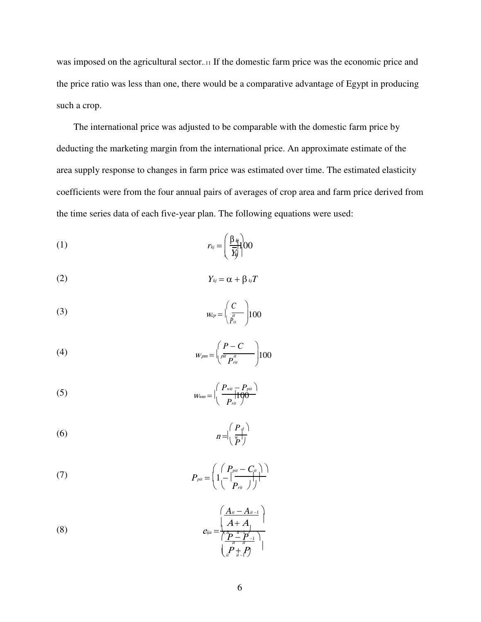was imposed on the agricultural sector..11 If the domestic farm price was the economic price and the price ratio was less than one, there would be a comparative advantage of Egypt in producing such a crop.

The international price was adjusted to be comparable with the domestic farm price by deducting the marketing margin from the international price. An approximate estimate of the area supply response to changes in farm price was estimated over time. The estimated elasticity coefficients were from the four annual pairs of averages of crop area and farm price derived from the time series data of each five-year plan. The following equations were used:

$$
(1) \t\t\t\t\t r_{kj} = \left(\frac{\beta_{kj}}{\overline{Y}_j}\right)00
$$

$$
(2) \t Y_{kj} = \alpha + \beta_{kj}T
$$

$$
(3) \t\t w_{cp} = \left(\frac{C}{p_{ni}^{\frac{1}{n}}}\right)100
$$

$$
(4) \t\t\t w_{pm} = \left(\frac{P - C}{p^{it} P_{\text{rit}}}\right) 100
$$

(5) 
$$
w_{\text{wm}} = \left| \left( \frac{P_{\text{wit}} - P_{\text{pit}}}{P_{\text{rit}}} \right) \right|
$$

$$
(6) \t n = \begin{pmatrix} P_d \\ \frac{w}{p} \end{pmatrix}
$$

(7) 
$$
P_{\text{pit}} = \left(1 - \left(\frac{P_{\text{pit}} - C_{\text{it}}}{P_{\text{rit}}}\right)\right)
$$

(8) 
$$
e_{ij} = \frac{\left(\frac{A_{ii} - A_{ii-1}}{A + A_1}\right)}{\left(\frac{n}{n} - \frac{n}{p}\right)} \frac{\left(\frac{A_{ii} - A_{ii-1}}{A + A_1}\right)}{\left(\frac{n}{n} + \frac{n}{p}\right)}
$$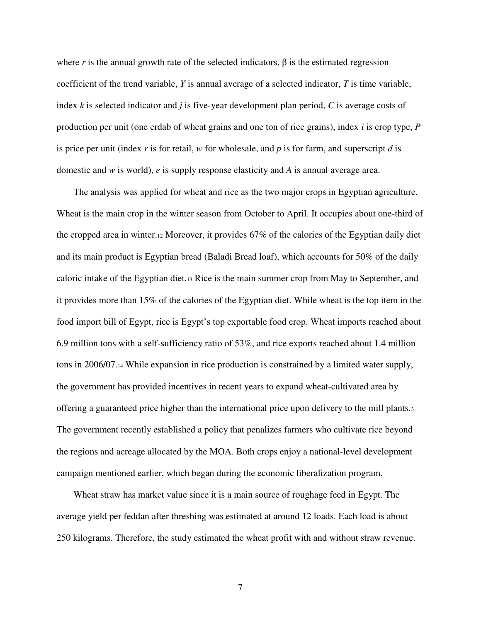where r is the annual growth rate of the selected indicators,  $\beta$  is the estimated regression coefficient of the trend variable, *Y* is annual average of a selected indicator, *T* is time variable, index *k* is selected indicator and *j* is five-year development plan period, *C* is average costs of production per unit (one erdab of wheat grains and one ton of rice grains), index *i* is crop type, *P*  is price per unit (index *r* is for retail, *w* for wholesale, and *p* is for farm, and superscript *d* is domestic and *w* is world), *e* is supply response elasticity and *A* is annual average area.

The analysis was applied for wheat and rice as the two major crops in Egyptian agriculture. Wheat is the main crop in the winter season from October to April. It occupies about one-third of the cropped area in winter.12 Moreover, it provides 67% of the calories of the Egyptian daily diet and its main product is Egyptian bread (Baladi Bread loaf), which accounts for 50% of the daily caloric intake of the Egyptian diet.13 Rice is the main summer crop from May to September, and it provides more than 15% of the calories of the Egyptian diet. While wheat is the top item in the food import bill of Egypt, rice is Egypt's top exportable food crop. Wheat imports reached about 6.9 million tons with a self-sufficiency ratio of 53%, and rice exports reached about 1.4 million tons in 2006/07.14 While expansion in rice production is constrained by a limited water supply, the government has provided incentives in recent years to expand wheat-cultivated area by offering a guaranteed price higher than the international price upon delivery to the mill plants.<sup>3</sup> The government recently established a policy that penalizes farmers who cultivate rice beyond the regions and acreage allocated by the MOA. Both crops enjoy a national-level development campaign mentioned earlier, which began during the economic liberalization program.

Wheat straw has market value since it is a main source of roughage feed in Egypt. The average yield per feddan after threshing was estimated at around 12 loads. Each load is about 250 kilograms. Therefore, the study estimated the wheat profit with and without straw revenue.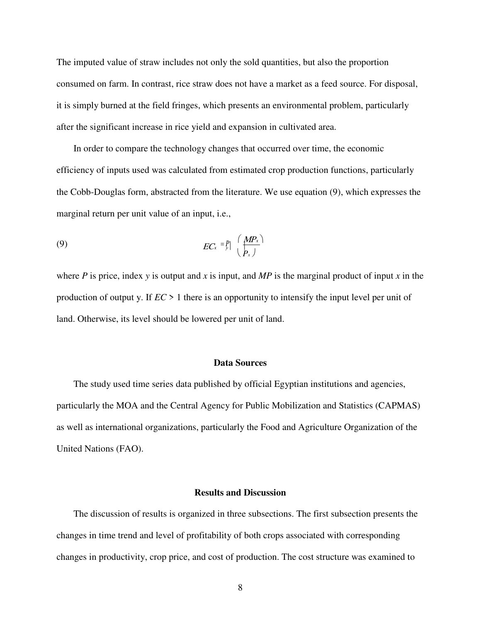The imputed value of straw includes not only the sold quantities, but also the proportion consumed on farm. In contrast, rice straw does not have a market as a feed source. For disposal, it is simply burned at the field fringes, which presents an environmental problem, particularly after the significant increase in rice yield and expansion in cultivated area.

In order to compare the technology changes that occurred over time, the economic efficiency of inputs used was calculated from estimated crop production functions, particularly the Cobb-Douglas form, abstracted from the literature. We use equation (9), which expresses the marginal return per unit value of an input, i.e.,

$$
(9) \t E C_x = \frac{p}{r} \left| \frac{M P_x}{P_x} \right|
$$

where *P* is price, index *y* is output and *x* is input, and *MP* is the marginal product of input *x* in the production of output y. If *EC* > 1 there is an opportunity to intensify the input level per unit of land. Otherwise, its level should be lowered per unit of land.

#### **Data Sources**

The study used time series data published by official Egyptian institutions and agencies, particularly the MOA and the Central Agency for Public Mobilization and Statistics (CAPMAS) as well as international organizations, particularly the Food and Agriculture Organization of the United Nations (FAO).

#### **Results and Discussion**

The discussion of results is organized in three subsections. The first subsection presents the changes in time trend and level of profitability of both crops associated with corresponding changes in productivity, crop price, and cost of production. The cost structure was examined to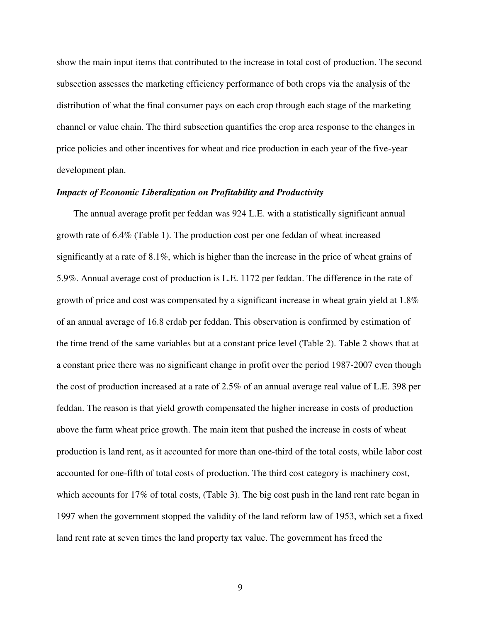show the main input items that contributed to the increase in total cost of production. The second subsection assesses the marketing efficiency performance of both crops via the analysis of the distribution of what the final consumer pays on each crop through each stage of the marketing channel or value chain. The third subsection quantifies the crop area response to the changes in price policies and other incentives for wheat and rice production in each year of the five-year development plan.

#### *Impacts of Economic Liberalization on Profitability and Productivity*

The annual average profit per feddan was 924 L.E. with a statistically significant annual growth rate of 6.4% (Table 1). The production cost per one feddan of wheat increased significantly at a rate of 8.1%, which is higher than the increase in the price of wheat grains of 5.9%. Annual average cost of production is L.E. 1172 per feddan. The difference in the rate of growth of price and cost was compensated by a significant increase in wheat grain yield at 1.8% of an annual average of 16.8 erdab per feddan. This observation is confirmed by estimation of the time trend of the same variables but at a constant price level (Table 2). Table 2 shows that at a constant price there was no significant change in profit over the period 1987-2007 even though the cost of production increased at a rate of 2.5% of an annual average real value of L.E. 398 per feddan. The reason is that yield growth compensated the higher increase in costs of production above the farm wheat price growth. The main item that pushed the increase in costs of wheat production is land rent, as it accounted for more than one-third of the total costs, while labor cost accounted for one-fifth of total costs of production. The third cost category is machinery cost, which accounts for 17% of total costs, (Table 3). The big cost push in the land rent rate began in 1997 when the government stopped the validity of the land reform law of 1953, which set a fixed land rent rate at seven times the land property tax value. The government has freed the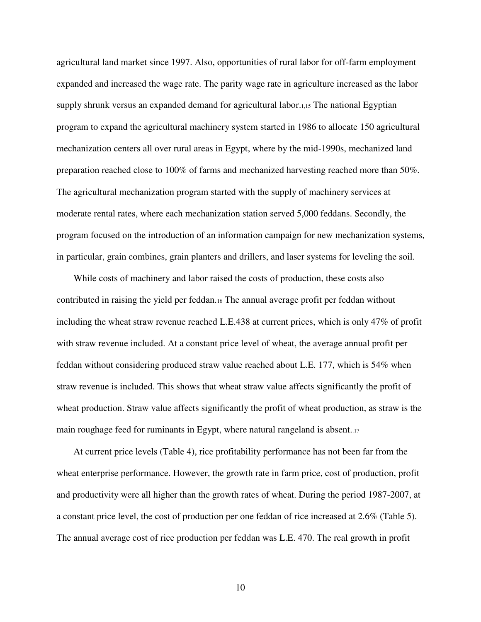agricultural land market since 1997. Also, opportunities of rural labor for off-farm employment expanded and increased the wage rate. The parity wage rate in agriculture increased as the labor supply shrunk versus an expanded demand for agricultural labor.<sup>1,15</sup> The national Egyptian program to expand the agricultural machinery system started in 1986 to allocate 150 agricultural mechanization centers all over rural areas in Egypt, where by the mid-1990s, mechanized land preparation reached close to 100% of farms and mechanized harvesting reached more than 50%. The agricultural mechanization program started with the supply of machinery services at moderate rental rates, where each mechanization station served 5,000 feddans. Secondly, the program focused on the introduction of an information campaign for new mechanization systems, in particular, grain combines, grain planters and drillers, and laser systems for leveling the soil.

While costs of machinery and labor raised the costs of production, these costs also contributed in raising the yield per feddan.16 The annual average profit per feddan without including the wheat straw revenue reached L.E.438 at current prices, which is only 47% of profit with straw revenue included. At a constant price level of wheat, the average annual profit per feddan without considering produced straw value reached about L.E. 177, which is 54% when straw revenue is included. This shows that wheat straw value affects significantly the profit of wheat production. Straw value affects significantly the profit of wheat production, as straw is the main roughage feed for ruminants in Egypt, where natural rangeland is absent..17

At current price levels (Table 4), rice profitability performance has not been far from the wheat enterprise performance. However, the growth rate in farm price, cost of production, profit and productivity were all higher than the growth rates of wheat. During the period 1987-2007, at a constant price level, the cost of production per one feddan of rice increased at 2.6% (Table 5). The annual average cost of rice production per feddan was L.E. 470. The real growth in profit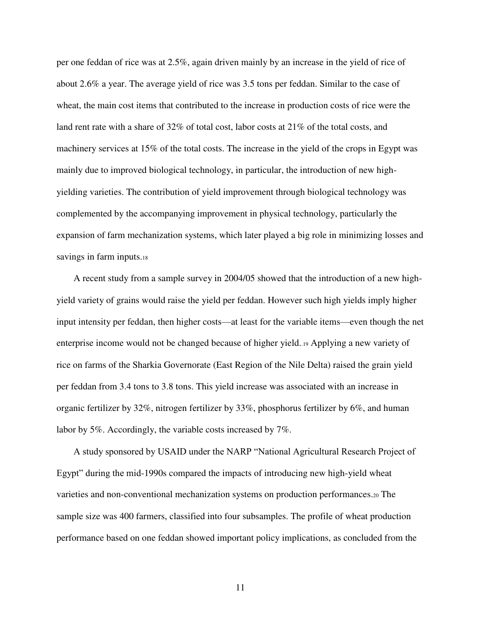per one feddan of rice was at 2.5%, again driven mainly by an increase in the yield of rice of about 2.6% a year. The average yield of rice was 3.5 tons per feddan. Similar to the case of wheat, the main cost items that contributed to the increase in production costs of rice were the land rent rate with a share of 32% of total cost, labor costs at 21% of the total costs, and machinery services at 15% of the total costs. The increase in the yield of the crops in Egypt was mainly due to improved biological technology, in particular, the introduction of new highyielding varieties. The contribution of yield improvement through biological technology was complemented by the accompanying improvement in physical technology, particularly the expansion of farm mechanization systems, which later played a big role in minimizing losses and savings in farm inputs.18

A recent study from a sample survey in 2004/05 showed that the introduction of a new highyield variety of grains would raise the yield per feddan. However such high yields imply higher input intensity per feddan, then higher costs—at least for the variable items—even though the net enterprise income would not be changed because of higher yield..19 Applying a new variety of rice on farms of the Sharkia Governorate (East Region of the Nile Delta) raised the grain yield per feddan from 3.4 tons to 3.8 tons. This yield increase was associated with an increase in organic fertilizer by 32%, nitrogen fertilizer by 33%, phosphorus fertilizer by 6%, and human labor by 5%. Accordingly, the variable costs increased by 7%.

A study sponsored by USAID under the NARP "National Agricultural Research Project of Egypt" during the mid-1990s compared the impacts of introducing new high-yield wheat varieties and non-conventional mechanization systems on production performances.20 The sample size was 400 farmers, classified into four subsamples. The profile of wheat production performance based on one feddan showed important policy implications, as concluded from the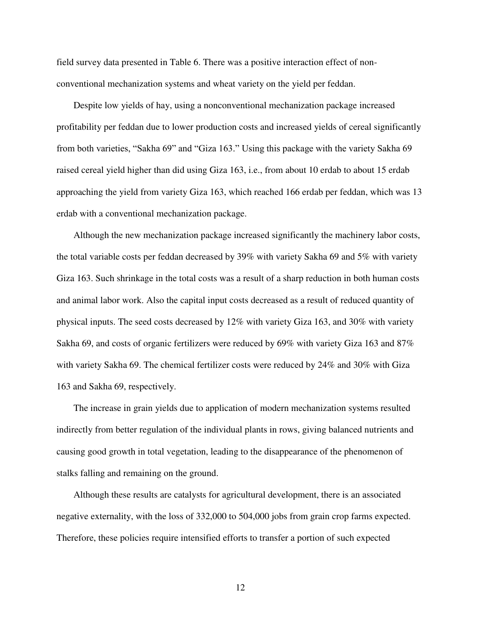field survey data presented in Table 6. There was a positive interaction effect of nonconventional mechanization systems and wheat variety on the yield per feddan.

Despite low yields of hay, using a nonconventional mechanization package increased profitability per feddan due to lower production costs and increased yields of cereal significantly from both varieties, "Sakha 69" and "Giza 163." Using this package with the variety Sakha 69 raised cereal yield higher than did using Giza 163, i.e., from about 10 erdab to about 15 erdab approaching the yield from variety Giza 163, which reached 166 erdab per feddan, which was 13 erdab with a conventional mechanization package.

Although the new mechanization package increased significantly the machinery labor costs, the total variable costs per feddan decreased by 39% with variety Sakha 69 and 5% with variety Giza 163. Such shrinkage in the total costs was a result of a sharp reduction in both human costs and animal labor work. Also the capital input costs decreased as a result of reduced quantity of physical inputs. The seed costs decreased by 12% with variety Giza 163, and 30% with variety Sakha 69, and costs of organic fertilizers were reduced by 69% with variety Giza 163 and 87% with variety Sakha 69. The chemical fertilizer costs were reduced by 24% and 30% with Giza 163 and Sakha 69, respectively.

The increase in grain yields due to application of modern mechanization systems resulted indirectly from better regulation of the individual plants in rows, giving balanced nutrients and causing good growth in total vegetation, leading to the disappearance of the phenomenon of stalks falling and remaining on the ground.

Although these results are catalysts for agricultural development, there is an associated negative externality, with the loss of 332,000 to 504,000 jobs from grain crop farms expected. Therefore, these policies require intensified efforts to transfer a portion of such expected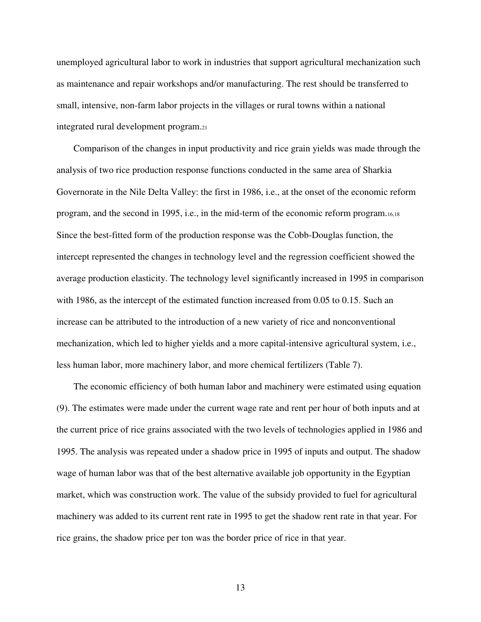unemployed agricultural labor to work in industries that support agricultural mechanization such as maintenance and repair workshops and/or manufacturing. The rest should be transferred to small, intensive, non-farm labor projects in the villages or rural towns within a national integrated rural development program.<sup>21</sup>

Comparison of the changes in input productivity and rice grain yields was made through the analysis of two rice production response functions conducted in the same area of Sharkia Governorate in the Nile Delta Valley: the first in 1986, i.e., at the onset of the economic reform program, and the second in 1995, i.e., in the mid-term of the economic reform program.16,18 Since the best-fitted form of the production response was the Cobb-Douglas function, the intercept represented the changes in technology level and the regression coefficient showed the average production elasticity. The technology level significantly increased in 1995 in comparison with 1986, as the intercept of the estimated function increased from 0.05 to 0.15. Such an increase can be attributed to the introduction of a new variety of rice and nonconventional mechanization, which led to higher yields and a more capital-intensive agricultural system, i.e., less human labor, more machinery labor, and more chemical fertilizers (Table 7).

The economic efficiency of both human labor and machinery were estimated using equation (9). The estimates were made under the current wage rate and rent per hour of both inputs and at the current price of rice grains associated with the two levels of technologies applied in 1986 and 1995. The analysis was repeated under a shadow price in 1995 of inputs and output. The shadow wage of human labor was that of the best alternative available job opportunity in the Egyptian market, which was construction work. The value of the subsidy provided to fuel for agricultural machinery was added to its current rent rate in 1995 to get the shadow rent rate in that year. For rice grains, the shadow price per ton was the border price of rice in that year.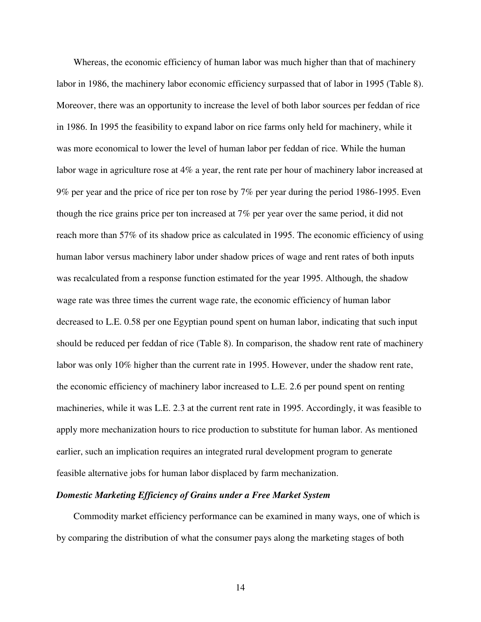Whereas, the economic efficiency of human labor was much higher than that of machinery labor in 1986, the machinery labor economic efficiency surpassed that of labor in 1995 (Table 8). Moreover, there was an opportunity to increase the level of both labor sources per feddan of rice in 1986. In 1995 the feasibility to expand labor on rice farms only held for machinery, while it was more economical to lower the level of human labor per feddan of rice. While the human labor wage in agriculture rose at 4% a year, the rent rate per hour of machinery labor increased at 9% per year and the price of rice per ton rose by 7% per year during the period 1986-1995. Even though the rice grains price per ton increased at 7% per year over the same period, it did not reach more than 57% of its shadow price as calculated in 1995. The economic efficiency of using human labor versus machinery labor under shadow prices of wage and rent rates of both inputs was recalculated from a response function estimated for the year 1995. Although, the shadow wage rate was three times the current wage rate, the economic efficiency of human labor decreased to L.E. 0.58 per one Egyptian pound spent on human labor, indicating that such input should be reduced per feddan of rice (Table 8). In comparison, the shadow rent rate of machinery labor was only 10% higher than the current rate in 1995. However, under the shadow rent rate, the economic efficiency of machinery labor increased to L.E. 2.6 per pound spent on renting machineries, while it was L.E. 2.3 at the current rent rate in 1995. Accordingly, it was feasible to apply more mechanization hours to rice production to substitute for human labor. As mentioned earlier, such an implication requires an integrated rural development program to generate feasible alternative jobs for human labor displaced by farm mechanization.

#### *Domestic Marketing Efficiency of Grains under a Free Market System*

Commodity market efficiency performance can be examined in many ways, one of which is by comparing the distribution of what the consumer pays along the marketing stages of both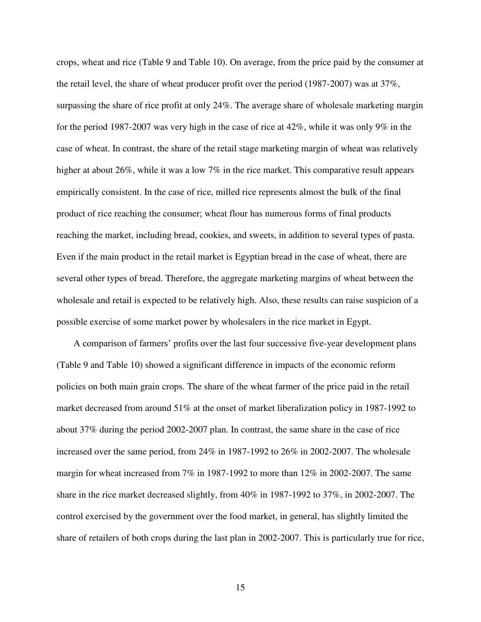crops, wheat and rice (Table 9 and Table 10). On average, from the price paid by the consumer at the retail level, the share of wheat producer profit over the period (1987-2007) was at 37%, surpassing the share of rice profit at only 24%. The average share of wholesale marketing margin for the period 1987-2007 was very high in the case of rice at 42%, while it was only 9% in the case of wheat. In contrast, the share of the retail stage marketing margin of wheat was relatively higher at about 26%, while it was a low 7% in the rice market. This comparative result appears empirically consistent. In the case of rice, milled rice represents almost the bulk of the final product of rice reaching the consumer; wheat flour has numerous forms of final products reaching the market, including bread, cookies, and sweets, in addition to several types of pasta. Even if the main product in the retail market is Egyptian bread in the case of wheat, there are several other types of bread. Therefore, the aggregate marketing margins of wheat between the wholesale and retail is expected to be relatively high. Also, these results can raise suspicion of a possible exercise of some market power by wholesalers in the rice market in Egypt.

A comparison of farmers' profits over the last four successive five-year development plans (Table 9 and Table 10) showed a significant difference in impacts of the economic reform policies on both main grain crops. The share of the wheat farmer of the price paid in the retail market decreased from around 51% at the onset of market liberalization policy in 1987-1992 to about 37% during the period 2002-2007 plan. In contrast, the same share in the case of rice increased over the same period, from 24% in 1987-1992 to 26% in 2002-2007. The wholesale margin for wheat increased from 7% in 1987-1992 to more than 12% in 2002-2007. The same share in the rice market decreased slightly, from 40% in 1987-1992 to 37%, in 2002-2007. The control exercised by the government over the food market, in general, has slightly limited the share of retailers of both crops during the last plan in 2002-2007. This is particularly true for rice,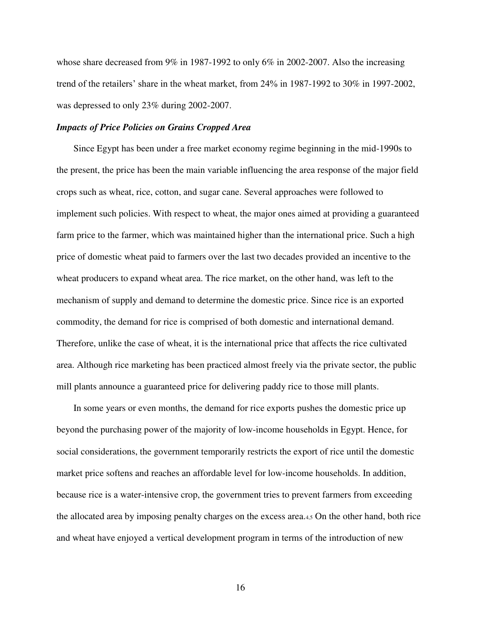whose share decreased from 9% in 1987-1992 to only 6% in 2002-2007. Also the increasing trend of the retailers' share in the wheat market, from 24% in 1987-1992 to 30% in 1997-2002, was depressed to only 23% during 2002-2007.

#### *Impacts of Price Policies on Grains Cropped Area*

Since Egypt has been under a free market economy regime beginning in the mid-1990s to the present, the price has been the main variable influencing the area response of the major field crops such as wheat, rice, cotton, and sugar cane. Several approaches were followed to implement such policies. With respect to wheat, the major ones aimed at providing a guaranteed farm price to the farmer, which was maintained higher than the international price. Such a high price of domestic wheat paid to farmers over the last two decades provided an incentive to the wheat producers to expand wheat area. The rice market, on the other hand, was left to the mechanism of supply and demand to determine the domestic price. Since rice is an exported commodity, the demand for rice is comprised of both domestic and international demand. Therefore, unlike the case of wheat, it is the international price that affects the rice cultivated area. Although rice marketing has been practiced almost freely via the private sector, the public mill plants announce a guaranteed price for delivering paddy rice to those mill plants.

In some years or even months, the demand for rice exports pushes the domestic price up beyond the purchasing power of the majority of low-income households in Egypt. Hence, for social considerations, the government temporarily restricts the export of rice until the domestic market price softens and reaches an affordable level for low-income households. In addition, because rice is a water-intensive crop, the government tries to prevent farmers from exceeding the allocated area by imposing penalty charges on the excess area.4,5 On the other hand, both rice and wheat have enjoyed a vertical development program in terms of the introduction of new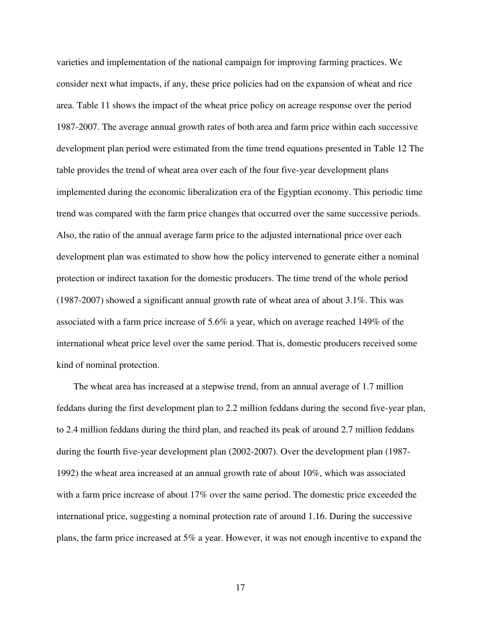varieties and implementation of the national campaign for improving farming practices. We consider next what impacts, if any, these price policies had on the expansion of wheat and rice area. Table 11 shows the impact of the wheat price policy on acreage response over the period 1987-2007. The average annual growth rates of both area and farm price within each successive development plan period were estimated from the time trend equations presented in Table 12 The table provides the trend of wheat area over each of the four five-year development plans implemented during the economic liberalization era of the Egyptian economy. This periodic time trend was compared with the farm price changes that occurred over the same successive periods. Also, the ratio of the annual average farm price to the adjusted international price over each development plan was estimated to show how the policy intervened to generate either a nominal protection or indirect taxation for the domestic producers. The time trend of the whole period (1987-2007) showed a significant annual growth rate of wheat area of about 3.1%. This was associated with a farm price increase of 5.6% a year, which on average reached 149% of the international wheat price level over the same period. That is, domestic producers received some kind of nominal protection.

The wheat area has increased at a stepwise trend, from an annual average of 1.7 million feddans during the first development plan to 2.2 million feddans during the second five-year plan, to 2.4 million feddans during the third plan, and reached its peak of around 2.7 million feddans during the fourth five-year development plan (2002-2007). Over the development plan (1987- 1992) the wheat area increased at an annual growth rate of about 10%, which was associated with a farm price increase of about 17% over the same period. The domestic price exceeded the international price, suggesting a nominal protection rate of around 1.16. During the successive plans, the farm price increased at 5% a year. However, it was not enough incentive to expand the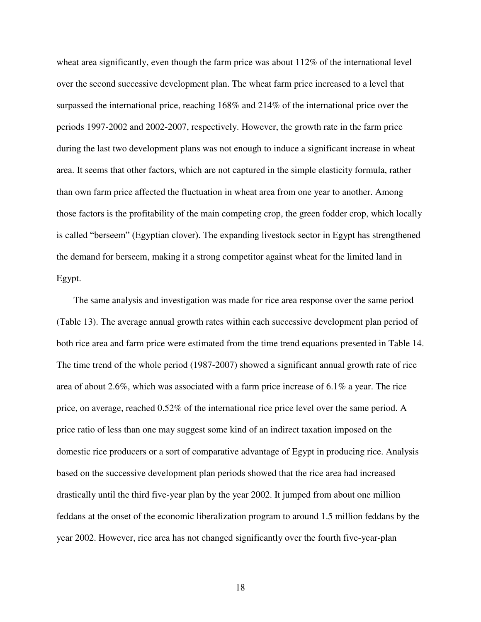wheat area significantly, even though the farm price was about 112% of the international level over the second successive development plan. The wheat farm price increased to a level that surpassed the international price, reaching 168% and 214% of the international price over the periods 1997-2002 and 2002-2007, respectively. However, the growth rate in the farm price during the last two development plans was not enough to induce a significant increase in wheat area. It seems that other factors, which are not captured in the simple elasticity formula, rather than own farm price affected the fluctuation in wheat area from one year to another. Among those factors is the profitability of the main competing crop, the green fodder crop, which locally is called "berseem" (Egyptian clover). The expanding livestock sector in Egypt has strengthened the demand for berseem, making it a strong competitor against wheat for the limited land in Egypt.

The same analysis and investigation was made for rice area response over the same period (Table 13). The average annual growth rates within each successive development plan period of both rice area and farm price were estimated from the time trend equations presented in Table 14. The time trend of the whole period (1987-2007) showed a significant annual growth rate of rice area of about 2.6%, which was associated with a farm price increase of 6.1% a year. The rice price, on average, reached 0.52% of the international rice price level over the same period. A price ratio of less than one may suggest some kind of an indirect taxation imposed on the domestic rice producers or a sort of comparative advantage of Egypt in producing rice. Analysis based on the successive development plan periods showed that the rice area had increased drastically until the third five-year plan by the year 2002. It jumped from about one million feddans at the onset of the economic liberalization program to around 1.5 million feddans by the year 2002. However, rice area has not changed significantly over the fourth five-year-plan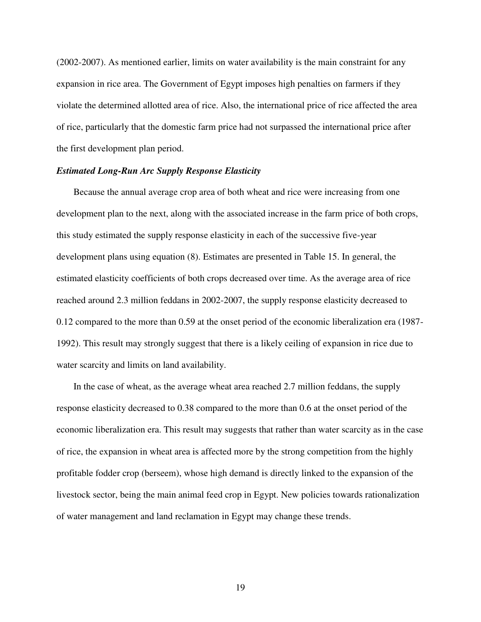(2002-2007). As mentioned earlier, limits on water availability is the main constraint for any expansion in rice area. The Government of Egypt imposes high penalties on farmers if they violate the determined allotted area of rice. Also, the international price of rice affected the area of rice, particularly that the domestic farm price had not surpassed the international price after the first development plan period.

#### *Estimated Long-Run Arc Supply Response Elasticity*

Because the annual average crop area of both wheat and rice were increasing from one development plan to the next, along with the associated increase in the farm price of both crops, this study estimated the supply response elasticity in each of the successive five-year development plans using equation (8). Estimates are presented in Table 15. In general, the estimated elasticity coefficients of both crops decreased over time. As the average area of rice reached around 2.3 million feddans in 2002-2007, the supply response elasticity decreased to 0.12 compared to the more than 0.59 at the onset period of the economic liberalization era (1987- 1992). This result may strongly suggest that there is a likely ceiling of expansion in rice due to water scarcity and limits on land availability.

In the case of wheat, as the average wheat area reached 2.7 million feddans, the supply response elasticity decreased to 0.38 compared to the more than 0.6 at the onset period of the economic liberalization era. This result may suggests that rather than water scarcity as in the case of rice, the expansion in wheat area is affected more by the strong competition from the highly profitable fodder crop (berseem), whose high demand is directly linked to the expansion of the livestock sector, being the main animal feed crop in Egypt. New policies towards rationalization of water management and land reclamation in Egypt may change these trends.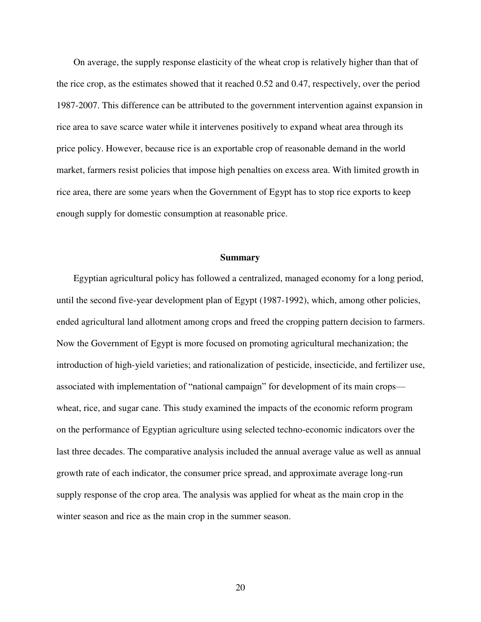On average, the supply response elasticity of the wheat crop is relatively higher than that of the rice crop, as the estimates showed that it reached 0.52 and 0.47, respectively, over the period 1987-2007. This difference can be attributed to the government intervention against expansion in rice area to save scarce water while it intervenes positively to expand wheat area through its price policy. However, because rice is an exportable crop of reasonable demand in the world market, farmers resist policies that impose high penalties on excess area. With limited growth in rice area, there are some years when the Government of Egypt has to stop rice exports to keep enough supply for domestic consumption at reasonable price.

#### **Summary**

Egyptian agricultural policy has followed a centralized, managed economy for a long period, until the second five-year development plan of Egypt (1987-1992), which, among other policies, ended agricultural land allotment among crops and freed the cropping pattern decision to farmers. Now the Government of Egypt is more focused on promoting agricultural mechanization; the introduction of high-yield varieties; and rationalization of pesticide, insecticide, and fertilizer use, associated with implementation of "national campaign" for development of its main crops wheat, rice, and sugar cane. This study examined the impacts of the economic reform program on the performance of Egyptian agriculture using selected techno-economic indicators over the last three decades. The comparative analysis included the annual average value as well as annual growth rate of each indicator, the consumer price spread, and approximate average long-run supply response of the crop area. The analysis was applied for wheat as the main crop in the winter season and rice as the main crop in the summer season.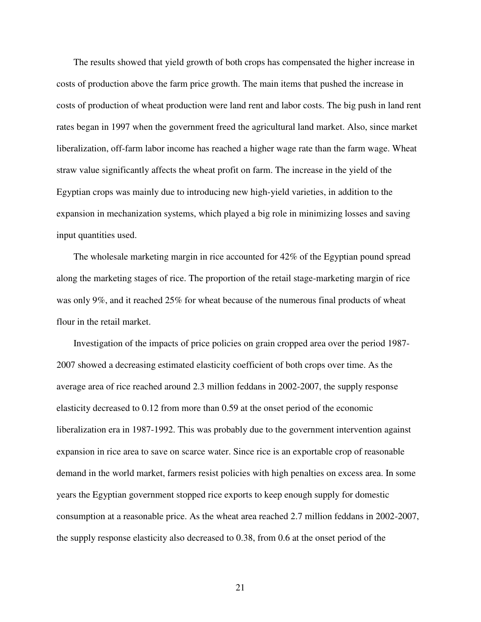The results showed that yield growth of both crops has compensated the higher increase in costs of production above the farm price growth. The main items that pushed the increase in costs of production of wheat production were land rent and labor costs. The big push in land rent rates began in 1997 when the government freed the agricultural land market. Also, since market liberalization, off-farm labor income has reached a higher wage rate than the farm wage. Wheat straw value significantly affects the wheat profit on farm. The increase in the yield of the Egyptian crops was mainly due to introducing new high-yield varieties, in addition to the expansion in mechanization systems, which played a big role in minimizing losses and saving input quantities used.

The wholesale marketing margin in rice accounted for 42% of the Egyptian pound spread along the marketing stages of rice. The proportion of the retail stage-marketing margin of rice was only 9%, and it reached 25% for wheat because of the numerous final products of wheat flour in the retail market.

Investigation of the impacts of price policies on grain cropped area over the period 1987- 2007 showed a decreasing estimated elasticity coefficient of both crops over time. As the average area of rice reached around 2.3 million feddans in 2002-2007, the supply response elasticity decreased to 0.12 from more than 0.59 at the onset period of the economic liberalization era in 1987-1992. This was probably due to the government intervention against expansion in rice area to save on scarce water. Since rice is an exportable crop of reasonable demand in the world market, farmers resist policies with high penalties on excess area. In some years the Egyptian government stopped rice exports to keep enough supply for domestic consumption at a reasonable price. As the wheat area reached 2.7 million feddans in 2002-2007, the supply response elasticity also decreased to 0.38, from 0.6 at the onset period of the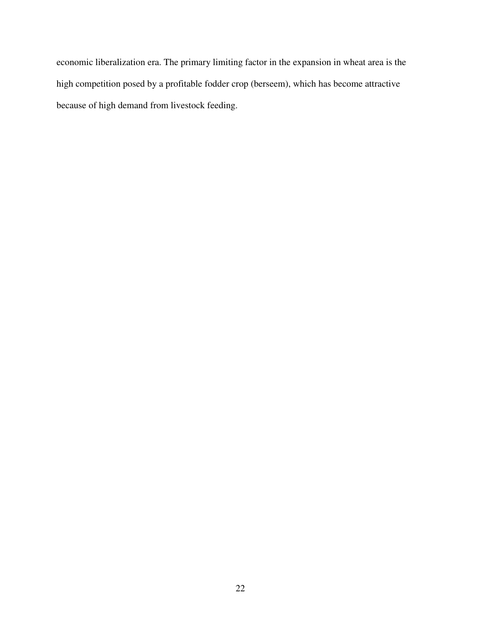economic liberalization era. The primary limiting factor in the expansion in wheat area is the high competition posed by a profitable fodder crop (berseem), which has become attractive because of high demand from livestock feeding.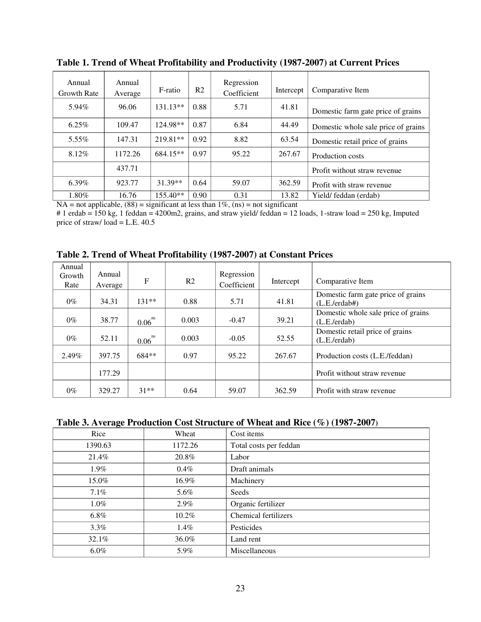| Annual<br>Growth Rate | Annual<br>Average | F-ratio    | R <sub>2</sub> | Regression<br>Coefficient | Intercept | Comparative Item                    |
|-----------------------|-------------------|------------|----------------|---------------------------|-----------|-------------------------------------|
| $5.94\%$              | 96.06             | $131.13**$ | 0.88           | 5.71                      | 41.81     | Domestic farm gate price of grains  |
| $6.25\%$              | 109.47            | 124.98**   | 0.87           | 6.84                      | 44.49     | Domestic whole sale price of grains |
| $5.55\%$              | 147.31            | 219.81**   | 0.92           | 8.82                      | 63.54     | Domestic retail price of grains     |
| 8.12%                 | 1172.26           | 684.15**   | 0.97           | 95.22                     | 267.67    | Production costs                    |
|                       | 437.71            |            |                |                           |           | Profit without straw revenue        |
| $6.39\%$              | 923.77            | 31.39**    | 0.64           | 59.07                     | 362.59    | Profit with straw revenue           |
| 1.80%                 | 16.76             | $155.40**$ | 0.90           | 0.31                      | 13.82     | Yield/feddan (erdab)                |

**Table 1. Trend of Wheat Profitability and Productivity (1987-2007) at Current Prices** 

 $NA = not applicable, (88) = significant at less than 1\%, (ns) = not significant$ 

# 1 erdab =  $150$  kg, 1 feddan =  $4200$ m2, grains, and straw yield/ feddan = 12 loads, 1-straw load = 250 kg, Imputed price of straw/ load = L.E. 40.5

**Table 2. Trend of Wheat Profitability (1987-2007) at Constant Prices** 

| Annual<br>Growth | Annual  |             |                | Regression  |           |                                              |
|------------------|---------|-------------|----------------|-------------|-----------|----------------------------------------------|
| Rate             | Average | F           | R <sub>2</sub> | Coefficient | Intercept | Comparative Item                             |
| $0\%$            | 34.31   | $131**$     | 0.88           | 5.71        | 41.81     | Domestic farm gate price of grains<br>(L.E.  |
| $0\%$            | 38.77   | $0.06^{ns}$ | 0.003          | $-0.47$     | 39.21     | Domestic whole sale price of grains<br>(L.E. |
| $0\%$            | 52.11   | ns<br>0.06  | 0.003          | $-0.05$     | 52.55     | Domestic retail price of grains<br>(L.E.     |
| $2.49\%$         | 397.75  | $684**$     | 0.97           | 95.22       | 267.67    | Production costs (L.E./feddan)               |
|                  | 177.29  |             |                |             |           | Profit without straw revenue                 |
| $0\%$            | 329.27  | $31**$      | 0.64           | 59.07       | 362.59    | Profit with straw revenue                    |

**Table 3. Average Production Cost Structure of Wheat and Rice (%) (1987-2007)** 

| Rice    | Wheat    | Cost items             |
|---------|----------|------------------------|
| 1390.63 | 1172.26  | Total costs per feddan |
| 21.4%   | 20.8%    | Labor                  |
| 1.9%    | $0.4\%$  | Draft animals          |
| 15.0%   | 16.9%    | Machinery              |
| 7.1%    | 5.6%     | Seeds                  |
| $1.0\%$ | 2.9%     | Organic fertilizer     |
| $6.8\%$ | $10.2\%$ | Chemical fertilizers   |
| 3.3%    | 1.4%     | Pesticides             |
| 32.1%   | 36.0%    | Land rent              |
| $6.0\%$ | 5.9%     | Miscellaneous          |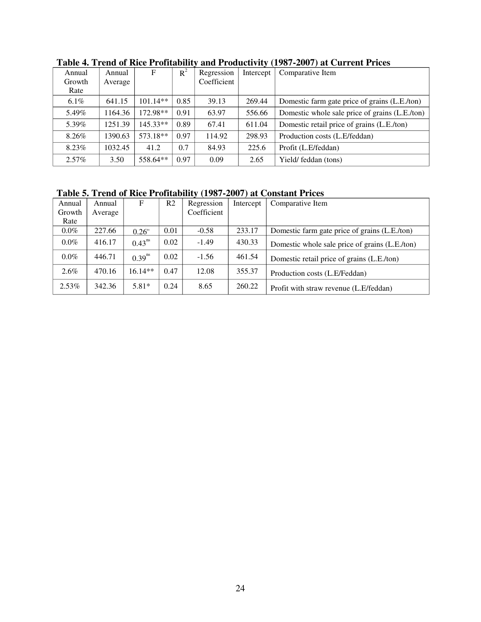| Annual   | Annual  | F          | $R^2$ | Regression  | Intercept | Comparative Item                               |
|----------|---------|------------|-------|-------------|-----------|------------------------------------------------|
| Growth   | Average |            |       | Coefficient |           |                                                |
| Rate     |         |            |       |             |           |                                                |
| $6.1\%$  | 641.15  | $101.14**$ | 0.85  | 39.13       | 269.44    | Domestic farm gate price of grains (L.E./ton)  |
| 5.49%    | 1164.36 | 172.98**   | 0.91  | 63.97       | 556.66    | Domestic whole sale price of grains (L.E./ton) |
| 5.39%    | 1251.39 | 145.33**   | 0.89  | 67.41       | 611.04    | Domestic retail price of grains (L.E./ton)     |
| 8.26%    | 1390.63 | 573.18**   | 0.97  | 114.92      | 298.93    | Production costs (L.E/feddan)                  |
| 8.23%    | 1032.45 | 41.2       | 0.7   | 84.93       | 225.6     | Profit (L.E/feddan)                            |
| $2.57\%$ | 3.50    | 558.64**   | 0.97  | 0.09        | 2.65      | Yield/feddan (tons)                            |

**Table 4. Trend of Rice Profitability and Productivity (1987-2007) at Current Prices** 

# **Table 5. Trend of Rice Profitability (1987-2007) at Constant Prices**

| Annual   | Annual  | F                    | R2   | Regression  | Intercept | Comparative Item                               |
|----------|---------|----------------------|------|-------------|-----------|------------------------------------------------|
| Growth   | Average |                      |      | Coefficient |           |                                                |
| Rate     |         |                      |      |             |           |                                                |
| $0.0\%$  | 227.66  | $0.26$ <sup>ns</sup> | 0.01 | $-0.58$     | 233.17    | Domestic farm gate price of grains (L.E./ton)  |
| $0.0\%$  | 416.17  | $0.43^{ns}$          | 0.02 | $-1.49$     | 430.33    | Domestic whole sale price of grains (L.E./ton) |
| $0.0\%$  | 446.71  | $0.39^{ns}$          | 0.02 | $-1.56$     | 461.54    | Domestic retail price of grains (L.E./ton)     |
| $2.6\%$  | 470.16  | $16.14**$            | 0.47 | 12.08       | 355.37    | Production costs (L.E/Feddan)                  |
| $2.53\%$ | 342.36  | $5.81*$              | 0.24 | 8.65        | 260.22    | Profit with straw revenue (L.E/feddan)         |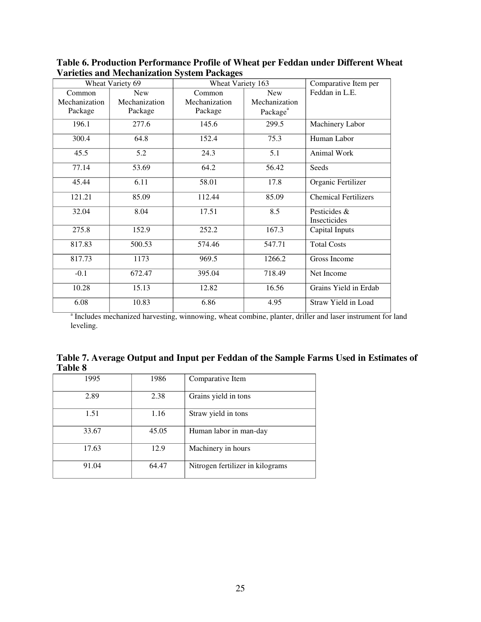|               | Wheat Variety 69 | Wheat Variety 163 | Comparative Item per |                             |
|---------------|------------------|-------------------|----------------------|-----------------------------|
| Common        | <b>New</b>       | Common            | <b>New</b>           | Feddan in L.E.              |
| Mechanization | Mechanization    | Mechanization     | Mechanization        |                             |
| Package       | Package          | Package           | Package <sup>a</sup> |                             |
| 196.1         | 277.6            | 145.6             | 299.5                | Machinery Labor             |
| 300.4         | 64.8             | 152.4             | 75.3                 | Human Labor                 |
| 45.5          | 5.2              | 24.3              | 5.1                  | Animal Work                 |
| 77.14         | 53.69            | 64.2              | 56.42                | Seeds                       |
| 45.44         | 6.11             | 58.01             | 17.8                 | Organic Fertilizer          |
| 121.21        | 85.09            | 112.44            | 85.09                | <b>Chemical Fertilizers</b> |
| 32.04         | 8.04             | 17.51             | 8.5                  | Pesticides &                |
|               |                  |                   |                      | Insecticides                |
| 275.8         | 152.9            | 252.2             | 167.3                | Capital Inputs              |
| 817.83        | 500.53           | 574.46            | 547.71               | <b>Total Costs</b>          |
| 817.73        | 1173             | 969.5             | 1266.2               | Gross Income                |
| $-0.1$        | 672.47           | 395.04            | 718.49               | Net Income                  |
| 10.28         | 15.13            | 12.82             | 16.56                | Grains Yield in Erdab       |
| 6.08          | 10.83            | 6.86              | 4.95                 | Straw Yield in Load         |

**Table 6. Production Performance Profile of Wheat per Feddan under Different Wheat Varieties and Mechanization System Packages** 

<sup>a</sup> Includes mechanized harvesting, winnowing, wheat combine, planter, driller and laser instrument for land leveling.

| Table 7. Average Output and Input per Feddan of the Sample Farms Used in Estimates of |  |  |
|---------------------------------------------------------------------------------------|--|--|
| Table 8                                                                               |  |  |

| 1995  | 1986  | Comparative Item                 |
|-------|-------|----------------------------------|
| 2.89  | 2.38  | Grains yield in tons             |
| 1.51  | 1.16  | Straw yield in tons              |
| 33.67 | 45.05 | Human labor in man-day           |
| 17.63 | 12.9  | Machinery in hours               |
| 91.04 | 64.47 | Nitrogen fertilizer in kilograms |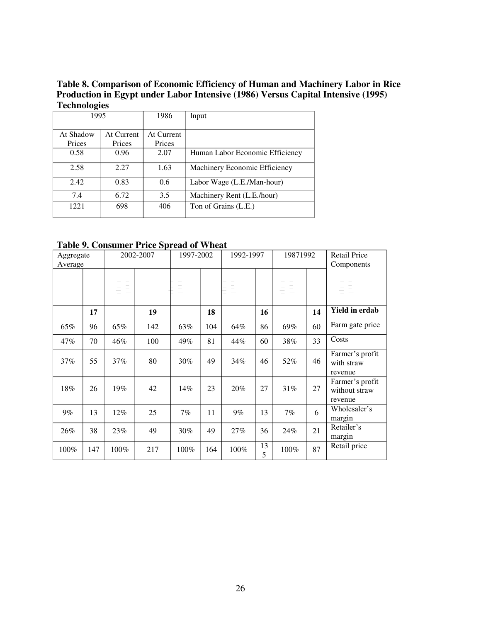**Table 8. Comparison of Economic Efficiency of Human and Machinery Labor in Rice Production in Egypt under Labor Intensive (1986) Versus Capital Intensive (1995) Technologies** 

| 1995        |            | 1986       | Input                           |  |  |
|-------------|------------|------------|---------------------------------|--|--|
|             |            |            |                                 |  |  |
| At Shadow   | At Current | At Current |                                 |  |  |
| Prices      | Prices     | Prices     |                                 |  |  |
| 0.58        | 0.96       | 2.07       | Human Labor Economic Efficiency |  |  |
| 2.58        | 2.27       | 1.63       | Machinery Economic Efficiency   |  |  |
| 2.42        | 0.83       | 0.6        | Labor Wage (L.E./Man-hour)      |  |  |
| 7.4<br>6.72 |            | 3.5        | Machinery Rent (L.E./hour)      |  |  |
| 1221<br>698 |            | 406        | Ton of Grains (L.E.)            |  |  |

**Table 9. Consumer Price Spread of Wheat** 

| Aggregate<br>Average |     | 2002-2007 |     | 1997-2002 |     | 1992-1997 |         | 19871992 |    | <b>Retail Price</b><br>Components           |
|----------------------|-----|-----------|-----|-----------|-----|-----------|---------|----------|----|---------------------------------------------|
|                      |     |           |     |           |     |           |         |          |    |                                             |
|                      |     |           |     |           |     |           |         |          |    |                                             |
|                      | 17  |           | 19  |           | 18  |           | 16      |          | 14 | <b>Yield in erdab</b>                       |
| 65%                  | 96  | 65%       | 142 | 63%       | 104 | 64%       | 86      | 69%      | 60 | Farm gate price                             |
| 47%                  | 70  | 46%       | 100 | 49%       | 81  | 44%       | 60      | 38%      | 33 | Costs                                       |
| 37%                  | 55  | 37%       | 80  | 30%       | 49  | 34%       | 46      | 52%      | 46 | Farmer's profit<br>with straw<br>revenue    |
| 18%                  | 26  | 19%       | 42  | 14%       | 23  | 20%       | 27      | 31%      | 27 | Farmer's profit<br>without straw<br>revenue |
| $9\%$                | 13  | 12%       | 25  | 7%        | 11  | $9\%$     | 13      | 7%       | 6  | Wholesaler's<br>margin                      |
| 26%                  | 38  | 23%       | 49  | $30\%$    | 49  | 27%       | 36      | 24%      | 21 | Retailer's<br>margin                        |
| 100%                 | 147 | 100%      | 217 | 100%      | 164 | 100%      | 13<br>5 | 100%     | 87 | Retail price                                |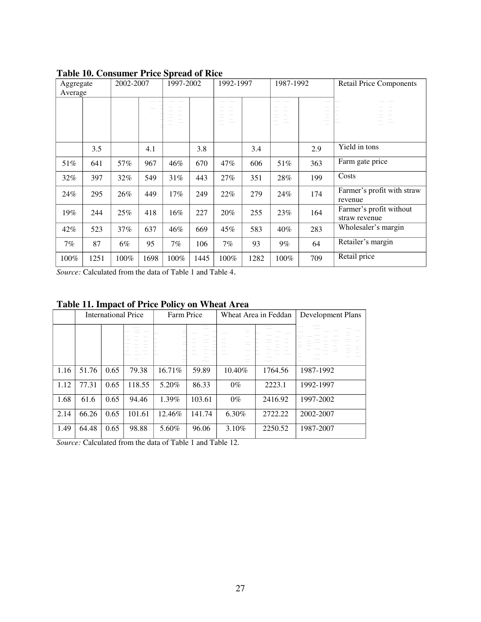| Table Tv. Consumer Trice Spread of Kice |      |           |      |           |      |           |      |           |     |                                          |
|-----------------------------------------|------|-----------|------|-----------|------|-----------|------|-----------|-----|------------------------------------------|
| Aggregate<br>Average                    |      | 2002-2007 |      | 1997-2002 |      | 1992-1997 |      | 1987-1992 |     | <b>Retail Price Components</b>           |
|                                         |      |           |      |           |      |           |      |           |     |                                          |
|                                         | 3.5  |           | 4.1  |           | 3.8  |           | 3.4  |           | 2.9 | Yield in tons                            |
| 51%                                     | 641  | 57%       | 967  | 46%       | 670  | $47\%$    | 606  | 51%       | 363 | Farm gate price                          |
| 32%                                     | 397  | 32%       | 549  | 31%       | 443  | 27%       | 351  | 28%       | 199 | Costs                                    |
| 24%                                     | 295  | 26%       | 449  | 17%       | 249  | 22%       | 279  | 24%       | 174 | Farmer's profit with straw<br>revenue    |
| 19%                                     | 244  | 25%       | 418  | 16%       | 227  | 20%       | 255  | 23%       | 164 | Farmer's profit without<br>straw revenue |
| 42%                                     | 523  | 37%       | 637  | 46%       | 669  | 45%       | 583  | 40%       | 283 | Wholesaler's margin                      |
| $7\%$                                   | 87   | 6%        | 95   | 7%        | 106  | 7%        | 93   | $9\%$     | 64  | Retailer's margin                        |
| 100%                                    | 1251 | 100%      | 1698 | 100%      | 1445 | 100%      | 1282 | 100%      | 709 | Retail price                             |

## **Table 10. Consumer Price Spread of Rice**

*Source:* Calculated from the data of Table 1 and Table 4.

|      | <b>International Price</b> |      |        | Farm Price |        |          | Wheat Area in Feddan | Development Plans |  |  |  |
|------|----------------------------|------|--------|------------|--------|----------|----------------------|-------------------|--|--|--|
|      |                            |      |        |            |        |          |                      |                   |  |  |  |
|      |                            |      |        |            |        |          |                      |                   |  |  |  |
|      |                            |      |        |            |        |          |                      |                   |  |  |  |
| 1.16 | 51.76                      | 0.65 | 79.38  | 16.71%     | 59.89  | 10.40%   | 1764.56              | 1987-1992         |  |  |  |
| 1.12 | 77.31                      | 0.65 | 118.55 | 5.20%      | 86.33  | $0\%$    | 2223.1               | 1992-1997         |  |  |  |
| 1.68 | 61.6                       | 0.65 | 94.46  | 1.39%      | 103.61 | $0\%$    | 2416.92              | 1997-2002         |  |  |  |
| 2.14 | 66.26                      | 0.65 | 101.61 | 12.46%     | 141.74 | $6.30\%$ | 2722.22              | 2002-2007         |  |  |  |
| 1.49 | 64.48                      | 0.65 | 98.88  | 5.60%      | 96.06  | 3.10%    | 2250.52              | 1987-2007         |  |  |  |

## **Table 11. Impact of Price Policy on Wheat Area**

*Source:* Calculated from the data of Table 1 and Table 12.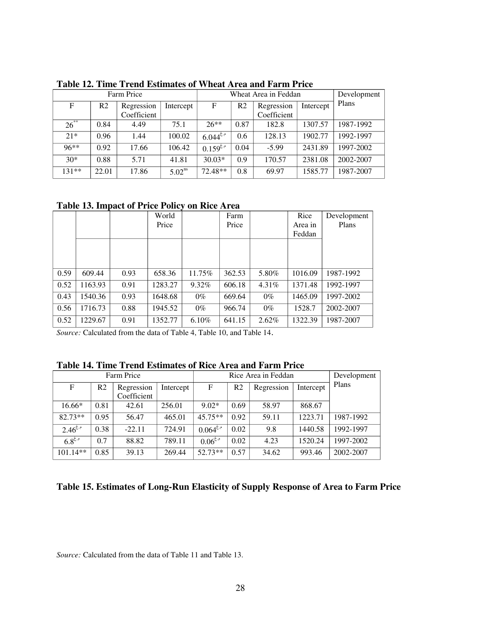| Farm Price |                |             |             | Wheat Area in Feddan |      |             |           | Development |
|------------|----------------|-------------|-------------|----------------------|------|-------------|-----------|-------------|
| F          | R <sub>2</sub> | Regression  | Intercept   | F                    | R2   | Regression  | Intercept | Plans       |
|            |                | Coefficient |             |                      |      | Coefficient |           |             |
| $26^{**}$  | 0.84           | 4.49        | 75.1        | $26**$               | 0.87 | 182.8       | 1307.57   | 1987-1992   |
| $21*$      | 0.96           | 1.44        | 100.02      | $6.044^{\xi,*}$      | 0.6  | 128.13      | 1902.77   | 1992-1997   |
| $96**$     | 0.92           | 17.66       | 106.42      | $0.159^{\xi,*}$      | 0.04 | $-5.99$     | 2431.89   | 1997-2002   |
| $30*$      | 0.88           | 5.71        | 41.81       | $30.03*$             | 0.9  | 170.57      | 2381.08   | 2002-2007   |
| $131**$    | 22.01          | 17.86       | $5.02^{ns}$ | 72.48**              | 0.8  | 69.97       | 1585.77   | 1987-2007   |

**Table 12. Time Trend Estimates of Wheat Area and Farm Price** 

**Table 13. Impact of Price Policy on Rice Area** 

|      |         |      | World   |        | Farm   |          | Rice    | Development |
|------|---------|------|---------|--------|--------|----------|---------|-------------|
|      |         |      | Price   |        | Price  |          | Area in | Plans       |
|      |         |      |         |        |        |          | Feddan  |             |
|      |         |      |         |        |        |          |         |             |
|      |         |      |         |        |        |          |         |             |
|      |         |      |         |        |        |          |         |             |
| 0.59 | 609.44  | 0.93 | 658.36  | 11.75% | 362.53 | 5.80%    | 1016.09 | 1987-1992   |
| 0.52 | 1163.93 | 0.91 | 1283.27 | 9.32%  | 606.18 | $4.31\%$ | 1371.48 | 1992-1997   |
| 0.43 | 1540.36 | 0.93 | 1648.68 | $0\%$  | 669.64 | $0\%$    | 1465.09 | 1997-2002   |
| 0.56 | 1716.73 | 0.88 | 1945.52 | $0\%$  | 966.74 | $0\%$    | 1528.7  | 2002-2007   |
| 0.52 | 1229.67 | 0.91 | 1352.77 | 6.10%  | 641.15 | $2.62\%$ | 1322.39 | 1987-2007   |

*Source:* Calculated from the data of Table 4, Table 10, and Table 14.

**Table 14. Time Trend Estimates of Rice Area and Farm Price** 

| Farm Price     |                |                           |           | Rice Area in Feddan |                |            |           | Development |
|----------------|----------------|---------------------------|-----------|---------------------|----------------|------------|-----------|-------------|
| $\mathbf F$    | R <sub>2</sub> | Regression<br>Coefficient | Intercept | $\mathbf F$         | R <sub>2</sub> | Regression | Intercept | Plans       |
| $16.66*$       | 0.81           | 42.61                     | 256.01    | $9.02*$             | 0.69           | 58.97      | 868.67    |             |
| $82.73**$      | 0.95           | 56.47                     | 465.01    | $45.75**$           | 0.92           | 59.11      | 1223.71   | 1987-1992   |
| $2.46^{\xi,*}$ | 0.38           | $-22.11$                  | 724.91    | $0.064^{\xi,*}$     | 0.02           | 9.8        | 1440.58   | 1992-1997   |
| $6.8^{\xi,*}$  | 0.7            | 88.82                     | 789.11    | $0.06^{\xi,*}$      | 0.02           | 4.23       | 1520.24   | 1997-2002   |
| 101.14**       | 0.85           | 39.13                     | 269.44    | $52.73**$           | 0.57           | 34.62      | 993.46    | 2002-2007   |

| Table 15. Estimates of Long-Run Elasticity of Supply Response of Area to Farm Price |  |  |
|-------------------------------------------------------------------------------------|--|--|
|-------------------------------------------------------------------------------------|--|--|

*Source:* Calculated from the data of Table 11 and Table 13.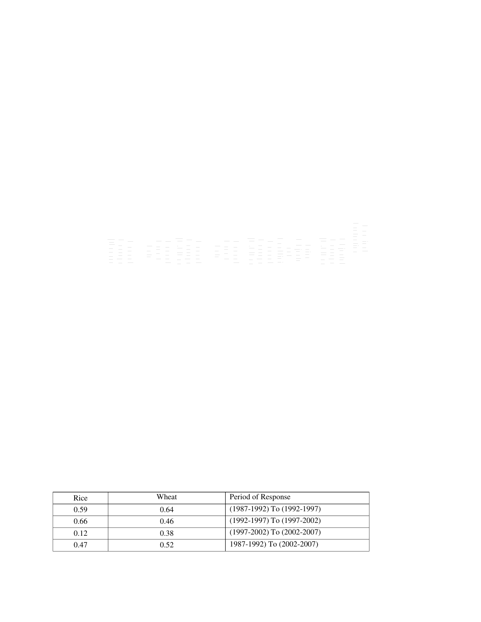| Rice | Wheat | Period of Response             |
|------|-------|--------------------------------|
| 0.59 | 0.64  | $(1987-1992)$ To $(1992-1997)$ |
| 0.66 | 0.46  | $(1992-1997)$ To $(1997-2002)$ |
| 0.12 | 0.38  | $(1997-2002)$ To $(2002-2007)$ |
| 0.47 | 0.52  | 1987-1992) To (2002-2007)      |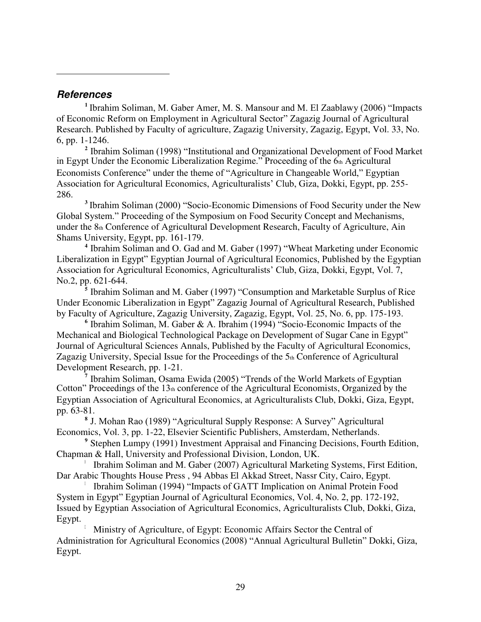## *References*

**<sup>1</sup>**Ibrahim Soliman, M. Gaber Amer, M. S. Mansour and M. El Zaablawy (2006) "Impacts of Economic Reform on Employment in Agricultural Sector" Zagazig Journal of Agricultural Research. Published by Faculty of agriculture, Zagazig University, Zagazig, Egypt, Vol. 33, No. 6, pp. 1-1246.

<sup>2</sup> Ibrahim Soliman (1998) "Institutional and Organizational Development of Food Market in Egypt Under the Economic Liberalization Regime." Proceeding of the  $6<sub>th</sub>$  Agricultural Economists Conference" under the theme of "Agriculture in Changeable World," Egyptian Association for Agricultural Economics, Agriculturalists' Club, Giza, Dokki, Egypt, pp. 255- 286.

**<sup>3</sup>**Ibrahim Soliman (2000) "Socio-Economic Dimensions of Food Security under the New Global System." Proceeding of the Symposium on Food Security Concept and Mechanisms, under the 8th Conference of Agricultural Development Research, Faculty of Agriculture, Ain Shams University, Egypt, pp. 161-179.

**<sup>4</sup>**Ibrahim Soliman and O. Gad and M. Gaber (1997) "Wheat Marketing under Economic Liberalization in Egypt" Egyptian Journal of Agricultural Economics, Published by the Egyptian Association for Agricultural Economics, Agriculturalists' Club, Giza, Dokki, Egypt, Vol. 7, No.2, pp. 621-644.

<sup>5</sup> Ibrahim Soliman and M. Gaber (1997) "Consumption and Marketable Surplus of Rice Under Economic Liberalization in Egypt" Zagazig Journal of Agricultural Research, Published by Faculty of Agriculture, Zagazig University, Zagazig, Egypt, Vol. 25, No. 6, pp. 175-193.

**<sup>6</sup>**Ibrahim Soliman, M. Gaber & A. Ibrahim (1994) "Socio-Economic Impacts of the Mechanical and Biological Technological Package on Development of Sugar Cane in Egypt" Journal of Agricultural Sciences Annals, Published by the Faculty of Agricultural Economics, Zagazig University, Special Issue for the Proceedings of the 5th Conference of Agricultural Development Research, pp. 1-21.

<sup>7</sup> Ibrahim Soliman, Osama Ewida (2005) "Trends of the World Markets of Egyptian Cotton" Proceedings of the 13th conference of the Agricultural Economists, Organized by the Egyptian Association of Agricultural Economics, at Agriculturalists Club, Dokki, Giza, Egypt, pp. 63-81.

**<sup>8</sup>**J. Mohan Rao (1989) "Agricultural Supply Response: A Survey" Agricultural Economics, Vol. 3, pp. 1-22, Elsevier Scientific Publishers, Amsterdam, Netherlands.

**<sup>9</sup>**Stephen Lumpy (1991) Investment Appraisal and Financing Decisions, Fourth Edition, Chapman & Hall, University and Professional Division, London, UK.

**1 0** Ibrahim Soliman and M. Gaber (2007) Agricultural Marketing Systems, First Edition, Dar Arabic Thoughts House Press , 94 Abbas El Akkad Street, Nassr City, Cairo, Egypt.

**1 1** Ibrahim Soliman (1994) "Impacts of GATT Implication on Animal Protein Food System in Egypt" Egyptian Journal of Agricultural Economics, Vol. 4, No. 2, pp. 172-192, Issued by Egyptian Association of Agricultural Economics, Agriculturalists Club, Dokki, Giza, Egypt.

**1 2** Ministry of Agriculture, of Egypt: Economic Affairs Sector the Central of Administration for Agricultural Economics (2008) "Annual Agricultural Bulletin" Dokki, Giza, Egypt.